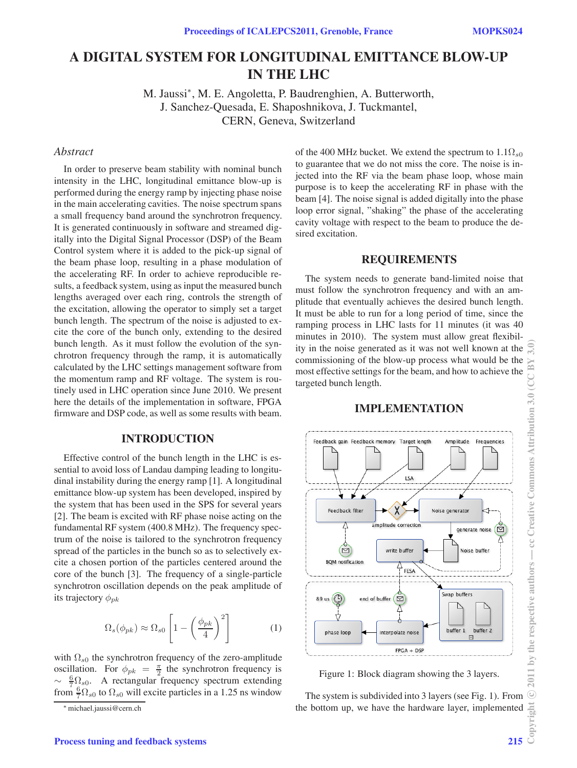# **A DIGITAL SYSTEM FOR LONGITUDINAL EMITTANCE BLOW-UP IN THE LHC**

M. Jaussi∗, M. E. Angoletta, P. Baudrenghien, A. Butterworth, J. Sanchez-Quesada, E. Shaposhnikova, J. Tuckmantel, CERN, Geneva, Switzerland

## *Abstract*

In order to preserve beam stability with nominal bunch intensity in the LHC, longitudinal emittance blow-up is performed during the energy ramp by injecting phase noise in the main accelerating cavities. The noise spectrum spans a small frequency band around the synchrotron frequency. It is generated continuously in software and streamed digitally into the Digital Signal Processor (DSP) of the Beam Control system where it is added to the pick-up signal of the beam phase loop, resulting in a phase modulation of the accelerating RF. In order to achieve reproducible results, a feedback system, using as input the measured bunch lengths averaged over each ring, controls the strength of the excitation, allowing the operator to simply set a target bunch length. The spectrum of the noise is adjusted to excite the core of the bunch only, extending to the desired bunch length. As it must follow the evolution of the synchrotron frequency through the ramp, it is automatically calculated by the LHC settings management software from the momentum ramp and RF voltage. The system is routinely used in LHC operation since June 2010. We present here the details of the implementation in software, FPGA firmware and DSP code, as well as some results with beam.

## **INTRODUCTION**

Effective control of the bunch length in the LHC is essential to avoid loss of Landau damping leading to longitudinal instability during the energy ramp [1]. A longitudinal emittance blow-up system has been developed, inspired by the system that has been used in the SPS for several years [2]. The beam is excited with RF phase noise acting on the fundamental RF system (400.8 MHz). The frequency spectrum of the noise is tailored to the synchrotron frequency spread of the particles in the bunch so as to selectively excite a chosen portion of the particles centered around the core of the bunch [3]. The frequency of a single-particle synchrotron oscillation depends on the peak amplitude of its trajectory  $\phi_{pk}$ 

$$
\Omega_s(\phi_{pk}) \approx \Omega_{s0} \left[ 1 - \left(\frac{\phi_{pk}}{4}\right)^2 \right] \tag{1}
$$

with  $\Omega_{s0}$  the synchrotron frequency of the zero-amplitude oscillation. For  $\phi_{pk} = \frac{\pi}{2}$  the synchrotron frequency is  $\sim \frac{6}{7} \Omega_{s0}$ . A rectangular frequency spectrum extending from  $\frac{6}{7}\Omega_{s0}$  to  $\Omega_{s0}$  will excite particles in a 1.25 ns window

of the 400 MHz bucket. We extend the spectrum to  $1.1\Omega_{s0}$ to guarantee that we do not miss the core. The noise is injected into the RF via the beam phase loop, whose main purpose is to keep the accelerating RF in phase with the beam [4]. The noise signal is added digitally into the phase loop error signal, "shaking" the phase of the accelerating cavity voltage with respect to the beam to produce the desired excitation.

#### **REQUIREMENTS**

The system needs to generate band-limited noise that must follow the synchrotron frequency and with an amplitude that eventually achieves the desired bunch length. It must be able to run for a long period of time, since the ramping process in LHC lasts for 11 minutes (it was 40 minutes in 2010). The system must allow great flexibility in the noise generated as it was not well known at the commissioning of the blow-up process what would be the most effective settings for the beam, and how to achieve the targeted bunch length.



# **IMPLEMENTATION**

Figure 1: Block diagram showing the 3 layers.

The system is subdivided into 3 layers (see Fig. 1). From the bottom up, we have the hardware layer, implemented

<sup>∗</sup>michael.jaussi@cern.ch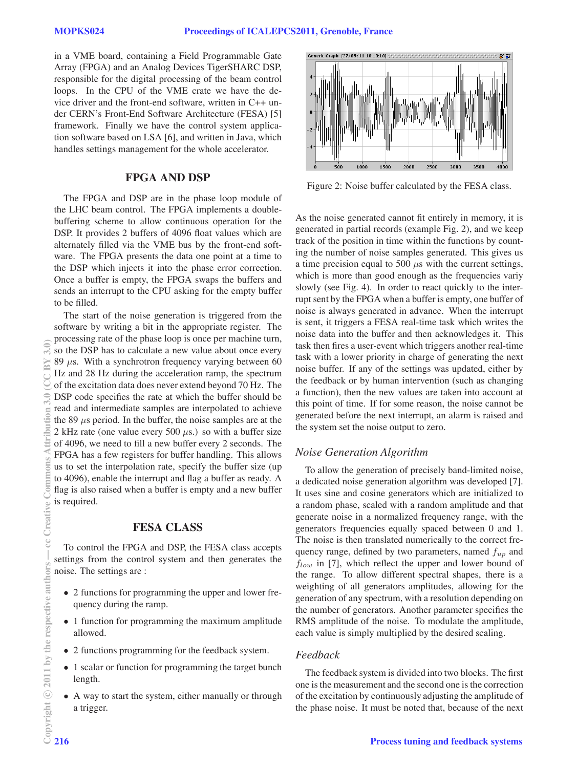in a VME board, containing a Field Programmable Gate Array (FPGA) and an Analog Devices TigerSHARC DSP, responsible for the digital processing of the beam control loops. In the CPU of the VME crate we have the device driver and the front-end software, written in C++ under CERN's Front-End Software Architecture (FESA) [5] framework. Finally we have the control system application software based on LSA [6], and written in Java, which handles settings management for the whole accelerator.

# **FPGA AND DSP**

The FPGA and DSP are in the phase loop module of the LHC beam control. The FPGA implements a doublebuffering scheme to allow continuous operation for the DSP. It provides 2 buffers of 4096 float values which are alternately filled via the VME bus by the front-end software. The FPGA presents the data one point at a time to the DSP which injects it into the phase error correction. Once a buffer is empty, the FPGA swaps the buffers and sends an interrupt to the CPU asking for the empty buffer to be filled.

The start of the noise generation is triggered from the software by writing a bit in the appropriate register. The processing rate of the phase loop is once per machine turn, so the DSP has to calculate a new value about once every 89  $\mu$ s. With a synchrotron frequency varying between 60 Hz and 28 Hz during the acceleration ramp, the spectrum of the excitation data does never extend beyond 70 Hz. The DSP code specifies the rate at which the buffer should be read and intermediate samples are interpolated to achieve the 89  $\mu$ s period. In the buffer, the noise samples are at the 2 kHz rate (one value every 500  $\mu$ s.) so with a buffer size of 4096, we need to fill a new buffer every 2 seconds. The FPGA has a few registers for buffer handling. This allows us to set the interpolation rate, specify the buffer size (up to 4096), enable the interrupt and flag a buffer as ready. A flag is also raised when a buffer is empty and a new buffer is required.

## **FESA CLASS**

To control the FPGA and DSP, the FESA class accepts settings from the control system and then generates the noise. The settings are :

- 2 functions for programming the upper and lower frequency during the ramp.
- 1 function for programming the maximum amplitude allowed.
- 2 functions programming for the feedback system.
- 1 scalar or function for programming the target bunch length.
- A way to start the system, either manually or through a trigger.



Figure 2: Noise buffer calculated by the FESA class.

As the noise generated cannot fit entirely in memory, it is generated in partial records (example Fig. 2), and we keep track of the position in time within the functions by counting the number of noise samples generated. This gives us a time precision equal to 500  $\mu$ s with the current settings, which is more than good enough as the frequencies variy slowly (see Fig. 4). In order to react quickly to the interrupt sent by the FPGA when a buffer is empty, one buffer of noise is always generated in advance. When the interrupt is sent, it triggers a FESA real-time task which writes the noise data into the buffer and then acknowledges it. This task then fires a user-event which triggers another real-time task with a lower priority in charge of generating the next noise buffer. If any of the settings was updated, either by the feedback or by human intervention (such as changing a function), then the new values are taken into account at this point of time. If for some reason, the noise cannot be generated before the next interrupt, an alarm is raised and the system set the noise output to zero.

#### *Noise Generation Algorithm*

To allow the generation of precisely band-limited noise, a dedicated noise generation algorithm was developed [7]. It uses sine and cosine generators which are initialized to a random phase, scaled with a random amplitude and that generate noise in a normalized frequency range, with the generators frequencies equally spaced between 0 and 1. The noise is then translated numerically to the correct frequency range, defined by two parameters, named  $f_{up}$  and  $f_{low}$  in [7], which reflect the upper and lower bound of the range. To allow different spectral shapes, there is a weighting of all generators amplitudes, allowing for the generation of any spectrum, with a resolution depending on the number of generators. Another parameter specifies the RMS amplitude of the noise. To modulate the amplitude, each value is simply multiplied by the desired scaling.

### *Feedback*

The feedback system is divided into two blocks. The first one is the measurement and the second one is the correction of the excitation by continuously adjusting the amplitude of the phase noise. It must be noted that, because of the next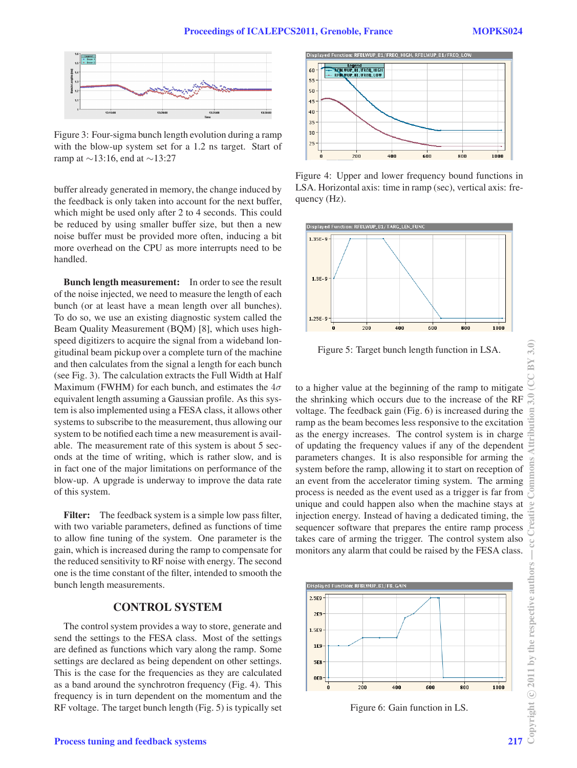

Figure 3: Four-sigma bunch length evolution during a ramp with the blow-up system set for a 1.2 ns target. Start of ramp at ∼13:16, end at ∼13:27

buffer already generated in memory, the change induced by the feedback is only taken into account for the next buffer, which might be used only after 2 to 4 seconds. This could be reduced by using smaller buffer size, but then a new noise buffer must be provided more often, inducing a bit more overhead on the CPU as more interrupts need to be handled.

**Bunch length measurement:** In order to see the result of the noise injected, we need to measure the length of each bunch (or at least have a mean length over all bunches). To do so, we use an existing diagnostic system called the Beam Quality Measurement (BQM) [8], which uses highspeed digitizers to acquire the signal from a wideband longitudinal beam pickup over a complete turn of the machine and then calculates from the signal a length for each bunch (see Fig. 3). The calculation extracts the Full Width at Half Maximum (FWHM) for each bunch, and estimates the  $4\sigma$ equivalent length assuming a Gaussian profile. As this system is also implemented using a FESA class, it allows other systems to subscribe to the measurement, thus allowing our system to be notified each time a new measurement is available. The measurement rate of this system is about 5 seconds at the time of writing, which is rather slow, and is in fact one of the major limitations on performance of the blow-up. A upgrade is underway to improve the data rate of this system.

**Filter:** The feedback system is a simple low pass filter, with two variable parameters, defined as functions of time to allow fine tuning of the system. One parameter is the gain, which is increased during the ramp to compensate for the reduced sensitivity to RF noise with energy. The second one is the time constant of the filter, intended to smooth the bunch length measurements.

## **CONTROL SYSTEM**

The control system provides a way to store, generate and send the settings to the FESA class. Most of the settings are defined as functions which vary along the ramp. Some settings are declared as being dependent on other settings. This is the case for the frequencies as they are calculated as a band around the synchrotron frequency (Fig. 4). This frequency is in turn dependent on the momentum and the RF voltage. The target bunch length (Fig. 5) is typically set



Figure 4: Upper and lower frequency bound functions in LSA. Horizontal axis: time in ramp (sec), vertical axis: frequency (Hz).



Figure 5: Target bunch length function in LSA.

to a higher value at the beginning of the ramp to mitigate the shrinking which occurs due to the increase of the RF voltage. The feedback gain (Fig. 6) is increased during the ramp as the beam becomes less responsive to the excitation as the energy increases. The control system is in charge of updating the frequency values if any of the dependent parameters changes. It is also responsible for arming the system before the ramp, allowing it to start on reception of an event from the accelerator timing system. The arming process is needed as the event used as a trigger is far from unique and could happen also when the machine stays at injection energy. Instead of having a dedicated timing, the sequencer software that prepares the entire ramp process takes care of arming the trigger. The control system also monitors any alarm that could be raised by the FESA class.



Figure 6: Gain function in LS.